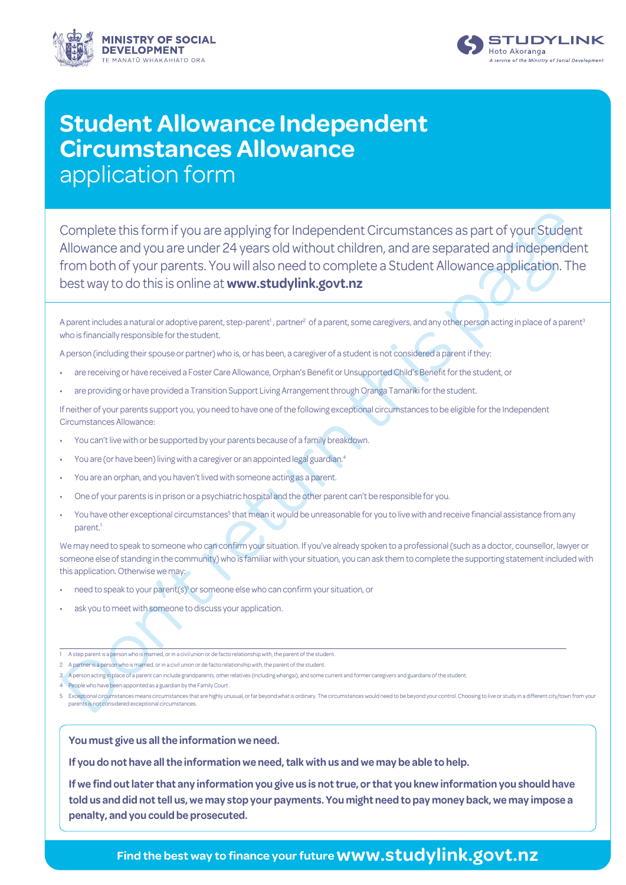



## **Student Allowance Independent Circumstances Allowance** application form

Complete this form if you are applying for independent Circumstances as part of your Studen<br>Allowance and you are under 24 years old without children, and are separated and independent<br>of rom both of your parents. You will Complete this form if you are applying for Independent Circumstances as part of your Student Allowance and you are under 24 years old without children, and are separated and independent from both of your parents. You will also need to complete a Student Allowance application. The best way to do this is online at **www.studylink.govt.nz**

A parent includes a natural or adoptive parent, step-parent<sup>1</sup>, partner<sup>2</sup> of a parent, some caregivers, and any other person acting in place of a parent<sup>s</sup> who is financially responsible for the student.

A person (including their spouse or partner) who is, or has been, a caregiver of a student is not considered a parent if they:

- are receiving or have received a Foster Care Allowance, Orphan's Benefit or Unsupported Child's Benefit for the student, or
- are providing or have provided a Transition Support Living Arrangement through Oranga Tamariki for the student.

If neither of your parents support you, you need to have one of the following exceptional circumstances to be eligible for the Independent Circumstances Allowance:

- You can't live with or be supported by your parents because of a family breakdown.
- You are (or have been) living with a caregiver or an appointed legal guardian.4
- You are an orphan, and you haven't lived with someone acting as a parent.
- One of your parents is in prison or a psychiatric hospital and the other parent can't be responsible for you.
- $\cdot$  You have other exceptional circumstances $^5$  that mean it would be unreasonable for you to live with and receive financial assistance from any parent.<sup>1</sup>

We may need to speak to someone who can confirm your situation. If you've already spoken to a professional (such as a doctor, counsellor, lawyer or someone else of standing in the community) who is familiar with your situation, you can ask them to complete the supporting statement included with this application. Otherwise we may:

- need to speak to your parent(s)<sup>1</sup> or someone else who can confirm your situation, or
- ask you to meet with someone to discuss your application.

- 2 A partner is a person who is married, or in a civil union or de facto relationship with, the parent of the student.
- 3 A person acting in place of a parent can include grandparents, other relatives (including whangai), and some current and former caregivers and guardians of the student
- 4 People who have been appointed as a guardian by the Family Court .
- 5 Exceptional circumstances means circumstances that are highly unusual, or far beyond what is ordinary. The circumstances would need to be beyond your control. Choosing to live or study in a different city/town from your parents is not considered exceptional circumstances.

**You must give us all the information we need.**

**If you do not have all the information we need, talk with us and we may be able to help.**

**If we find out later that any information you give us is not true, or that you knew information you should have told us and did not tell us, we may stop your payments. You might need to pay money back, we may impose a penalty, and you could be prosecuted.**

## **Find the best way to finance your future www.studylink.govt.nz**

<sup>1</sup> A step parent is a person who is married, or in a civil union or de facto relationship with, the parent of the student.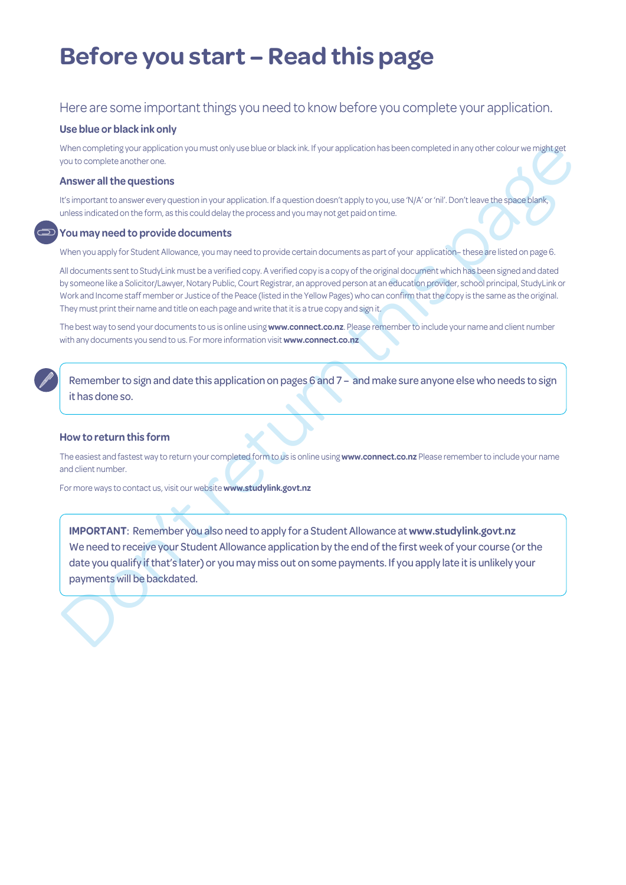## **Before you start – Read this page**

### Here are some important things you need to know before you complete your application.

#### **Use blue or black ink only**

When completing your application you must only use blue or black ink. If your application has been completed in any other colour we might get you to complete another one.

#### **Answer all the questions**

It's important to answer every question in your application. If a question doesn't apply to you, use 'N/A' or 'nil'. Don't leave the space blank, unless indicated on the form, as this could delay the process and you may not get paid on time.

#### **You may need to provide documents**

When you apply for Student Allowance, you may need to provide certain documents as part of your application– these are listed on page 6.

All documents sent to StudyLink must be a verified copy. A verified copy is a copy of the original document which has been signed and dated by someone like a Solicitor/Lawyer, Notary Public, Court Registrar, an approved person at an education provider, school principal, StudyLink or Work and Income staff member or Justice of the Peace (listed in the Yellow Pages) who can confirm that the copy is the same as the original. They must print their name and title on each page and write that it is a true copy and sign it.

The best way to send your documents to us is online using **www.connect.co.nz**. Please remember to include your name and client number with any documents you send to us. For more information visit **www.connect.co.nz**

Remember to sign and date this application on pages 6 and 7 – and make sure anyone else who needs to sign it has done so.

#### **How to return this form**

The easiest and fastest way to return your completed form to us is online using **www.connect.co.nz** Please remember to include your name and client number.

For more ways to contact us, visit our website **www.studylink.govt.nz**

When correlate movies and the constrained in the station of the properties of the constrained in the page of the constrained in the page of the constrained in the page of the constrained in the constrained in the constrain **IMPORTANT**: Remember you also need to apply for a Student Allowance at **www.studylink.govt.nz** We need to receive your Student Allowance application by the end of the first week of your course (or the date you qualify if that's later) or you may miss out on some payments. If you apply late it is unlikely your payments will be backdated.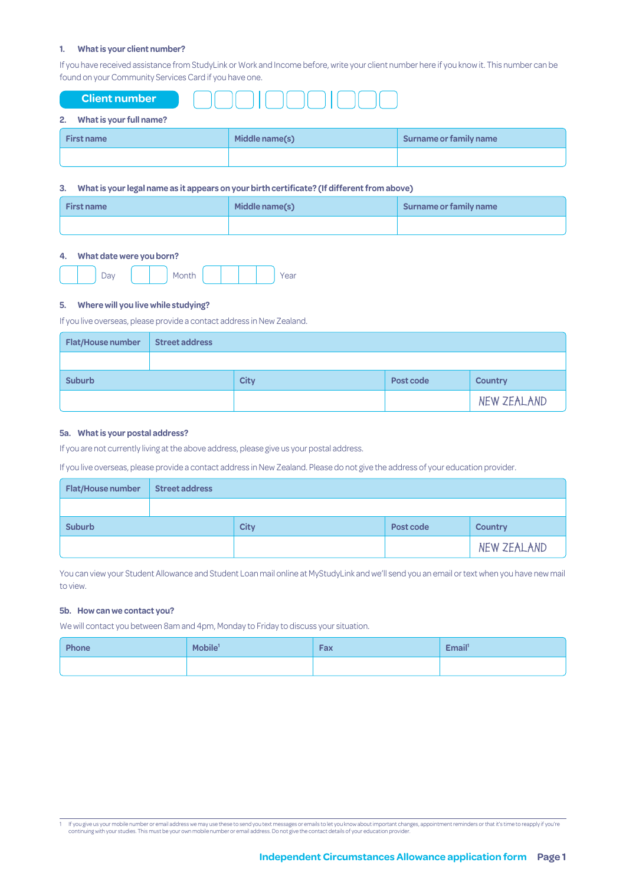#### **1. What is your client number?**

If you have received assistance from StudyLink or Work and Income before, write your client number here if you know it. This number can be found on your Community Services Card if you have one.

| <b>Client number</b>          |                |                        |
|-------------------------------|----------------|------------------------|
| What is your full name?<br>2. |                |                        |
| <b>First name</b>             | Middle name(s) | Surname or family name |
|                               |                |                        |

#### **3. What is your legal name as it appears on your birth certificate? (If different from above)**

| <b>First name</b> | Middle name(s) | Surname or family name |  |  |  |
|-------------------|----------------|------------------------|--|--|--|
|                   |                |                        |  |  |  |

#### **4. What date were you born?**

#### **5. Where will you live while studying?**

If you live overseas, please provide a contact address in New Zealand.

| <b>Flat/House number</b> | <b>Street address</b> |             |           |                |
|--------------------------|-----------------------|-------------|-----------|----------------|
|                          |                       |             |           |                |
| <b>Suburb</b>            |                       | <b>City</b> | Post code | <b>Country</b> |
|                          |                       |             |           | NEW ZEALAND    |

#### **5a. What is your postal address?**

If you are not currently living at the above address, please give us your postal address.

If you live overseas, please provide a contact address in New Zealand. Please do not give the address of your education provider.

| <b>Flat/House number</b> | <b>Street address</b> |             |           |                |
|--------------------------|-----------------------|-------------|-----------|----------------|
|                          |                       |             |           |                |
| <b>Suburb</b>            |                       | <b>City</b> | Post code | <b>Country</b> |
|                          |                       |             |           | NEW ZEALAND    |

You can view your Student Allowance and Student Loan mail online at MyStudyLink and we'll send you an email or text when you have new mail to view.

#### **5b. How can we contact you?**

We will contact you between 8am and 4pm, Monday to Friday to discuss your situation.

| Phone | Mobile <sup>1</sup> | Fax | Email <sup>1</sup> |
|-------|---------------------|-----|--------------------|
|       |                     |     |                    |

1 If you give us your mobile number or email address we may use these to send you text messages or emails to let you know about important changes, appointment reminders or that it's time to reapply if you're continuing with your studies. This must be your own mobile number or email address. Do not give the contact details of your education provider.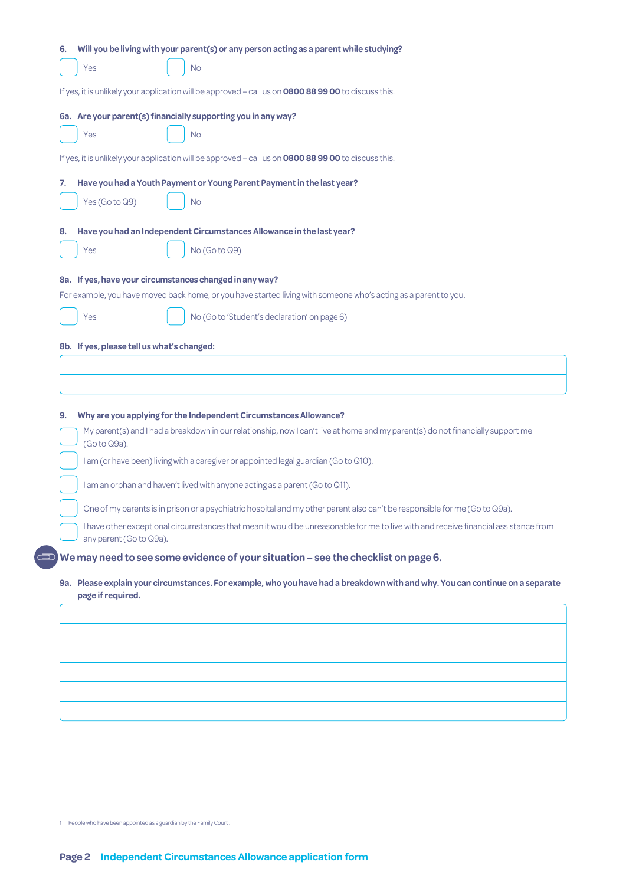|    |                                            | If yes, it is unlikely your application will be approved - call us on 0800 88 99 00 to discuss this.                                                                                                 |
|----|--------------------------------------------|------------------------------------------------------------------------------------------------------------------------------------------------------------------------------------------------------|
|    |                                            | 6a. Are your parent(s) financially supporting you in any way?                                                                                                                                        |
|    | Yes                                        | No                                                                                                                                                                                                   |
|    |                                            |                                                                                                                                                                                                      |
|    |                                            | If yes, it is unlikely your application will be approved - call us on 0800 88 99 00 to discuss this.                                                                                                 |
| 7. |                                            | Have you had a Youth Payment or Young Parent Payment in the last year?                                                                                                                               |
|    | Yes (Go to Q9)                             | <b>No</b>                                                                                                                                                                                            |
| 8. |                                            | Have you had an Independent Circumstances Allowance in the last year?                                                                                                                                |
|    | Yes                                        | No (Go to Q9)                                                                                                                                                                                        |
|    |                                            |                                                                                                                                                                                                      |
|    |                                            | 8a. If yes, have your circumstances changed in any way?<br>For example, you have moved back home, or you have started living with someone who's acting as a parent to you.                           |
|    |                                            |                                                                                                                                                                                                      |
|    | Yes                                        | No (Go to 'Student's declaration' on page 6)                                                                                                                                                         |
|    | 8b. If yes, please tell us what's changed: |                                                                                                                                                                                                      |
| 9. |                                            | Why are you applying for the Independent Circumstances Allowance?<br>My parent(s) and I had a breakdown in our relationship, now I can't live at home and my parent(s) do not financially support me |
|    | (Go to Q9a).                               |                                                                                                                                                                                                      |
|    |                                            | I am (or have been) living with a caregiver or appointed legal guardian (Go to Q10).                                                                                                                 |
|    |                                            | I am an orphan and haven't lived with anyone acting as a parent (Go to Q11).                                                                                                                         |
|    |                                            | One of my parents is in prison or a psychiatric hospital and my other parent also can't be responsible for me (Go to Q9a)                                                                            |
|    | any parent (Go to Q9a).                    | I have other exceptional circumstances that mean it would be unreasonable for me to live with and receive financial assistance from                                                                  |
|    |                                            | We may need to see some evidence of your situation - see the checklist on page 6.                                                                                                                    |
|    |                                            | 9a. Please explain your circumstances. For example, who you have had a breakdown with and why. You can continue on a separate                                                                        |
|    | page if required.                          |                                                                                                                                                                                                      |
|    |                                            |                                                                                                                                                                                                      |
|    |                                            |                                                                                                                                                                                                      |
|    |                                            |                                                                                                                                                                                                      |

1 People who have been appointed as a guardian by the Family Court.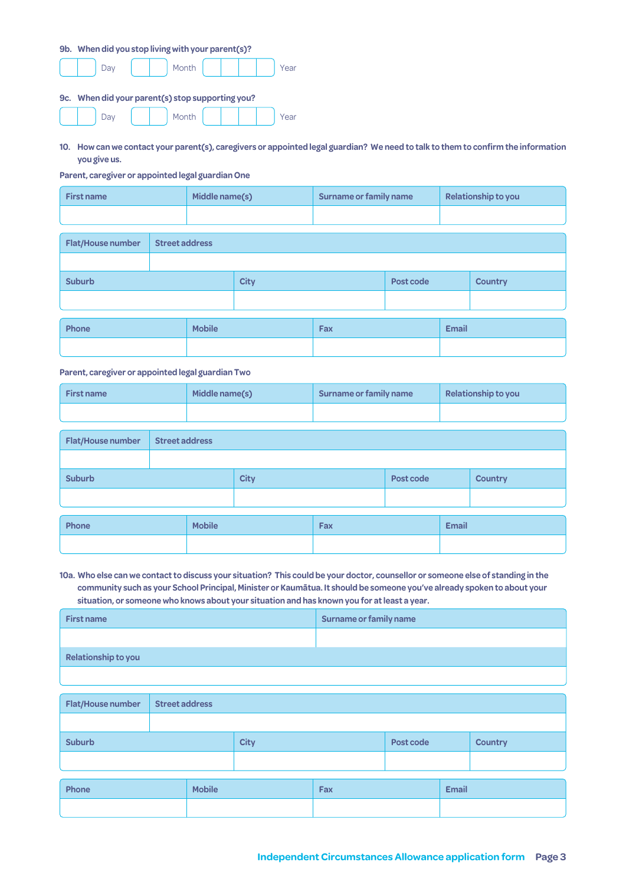| 9b. | When did you stop living with your parent(s)?    |       |  |  |      |
|-----|--------------------------------------------------|-------|--|--|------|
|     | <b>Day</b>                                       | Month |  |  | Year |
|     | 9c. When did your parent(s) stop supporting you? |       |  |  |      |
|     |                                                  |       |  |  |      |

**10. How can we contact your parent(s), caregivers or appointed legal guardian? We need to talk to them to confirm the information you give us.**

**Parent, caregiver or appointed legal guardian One**

| <b>First name</b>        |                       | Middle name(s) |             |  | Surname or family name |  | Relationship to you |  |
|--------------------------|-----------------------|----------------|-------------|--|------------------------|--|---------------------|--|
|                          |                       |                |             |  |                        |  |                     |  |
| <b>Flat/House number</b> | <b>Street address</b> |                |             |  |                        |  |                     |  |
|                          |                       |                |             |  |                        |  |                     |  |
| <b>Suburb</b>            |                       |                | <b>City</b> |  | Post code              |  | <b>Country</b>      |  |
|                          |                       |                |             |  |                        |  |                     |  |
|                          |                       |                |             |  |                        |  |                     |  |
| Phone<br><b>Mobile</b>   |                       |                | Fax         |  | <b>Email</b>           |  |                     |  |

**Parent, caregiver or appointed legal guardian Two**

| <b>First name</b> | Middle name(s) | Surname or family name | Relationship to you |
|-------------------|----------------|------------------------|---------------------|
|                   |                |                        |                     |

| Flat/House number |  | <b>Street address</b> |             |     |           |              |                |
|-------------------|--|-----------------------|-------------|-----|-----------|--------------|----------------|
|                   |  |                       |             |     |           |              |                |
| <b>Suburb</b>     |  |                       | <b>City</b> |     | Post code |              | <b>Country</b> |
|                   |  |                       |             |     |           |              |                |
| Phone             |  | <b>Mobile</b>         |             | Fax |           | <b>Email</b> |                |
|                   |  |                       |             |     |           |              |                |

**10a. Who else can we contact to discuss your situation? This could be your doctor, counsellor or someone else of standing in the community such as your School Principal, Minister or Kaumātua. It should be someone you've already spoken to about your situation, or someone who knows about your situation and has known you for at least a year.**

| <b>First name</b>          | Surname or family name |
|----------------------------|------------------------|
|                            |                        |
| <b>Relationship to you</b> |                        |

| Flat/House number | <b>Street address</b> |               |  |           |  |                |  |
|-------------------|-----------------------|---------------|--|-----------|--|----------------|--|
|                   |                       |               |  |           |  |                |  |
| <b>Suburb</b>     |                       | <b>City</b>   |  | Post code |  | <b>Country</b> |  |
|                   |                       |               |  |           |  |                |  |
| Phone             |                       | <b>Mobile</b> |  | Fax       |  | <b>Email</b>   |  |
|                   |                       |               |  |           |  |                |  |
|                   |                       |               |  |           |  |                |  |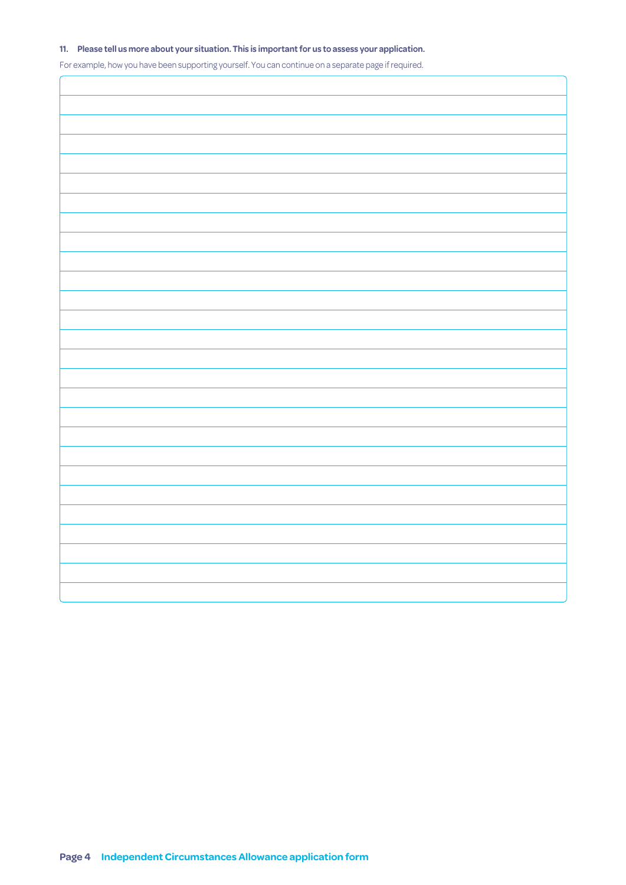#### **11. Please tell us more about your situation. This is important for us to assess your application.**

For example, how you have been supporting yourself. You can continue on a separate page if required.

 $\sqrt{ }$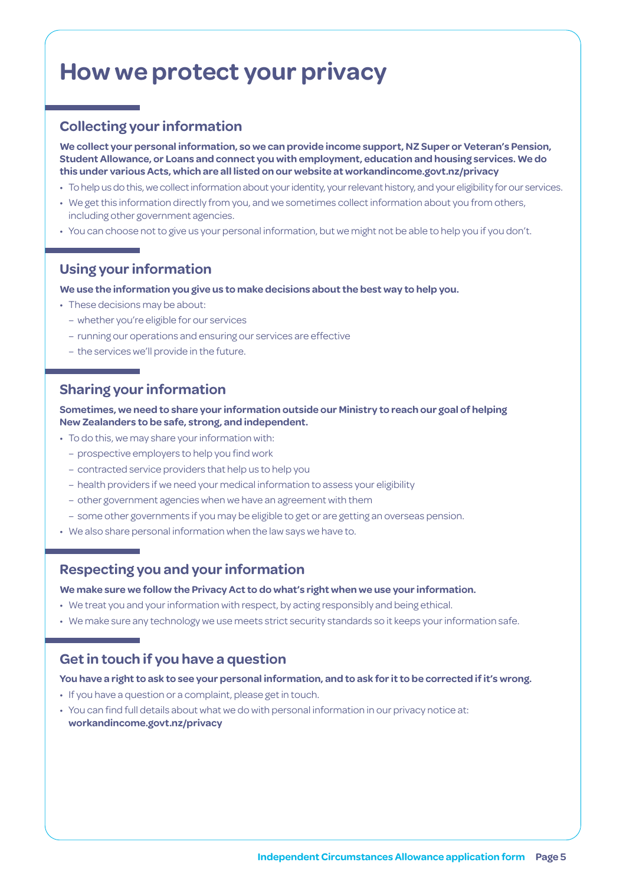## **How we protect your privacy**

## **Collecting your information**

**We collect your personal information, so we can provide income support, NZ Super or Veteran's Pension, Student Allowance, or Loans and connect you with employment, education and housing services. We do this under various Acts, which are all listed on our website at [workandincome.govt.nz/p](http://www.workandincome.govt.nz/about-work-and-income/privacy-notice/index.html)rivacy**

- To help us do this, we collect information about your identity, your relevant history, and your eligibility for our services.
- We get this information directly from you, and we sometimes collect information about you from others, including other government agencies.
- You can choose not to give us your personal information, but we might not be able to help you if you don't.

## **Using your information**

**We use the information you give us to make decisions about the best way to help you.**

- These decisions may be about:
	- whether you're eligible for our services
	- running our operations and ensuring our services are effective
	- the services we'll provide in the future.

### **Sharing your information**

**Sometimes, we need to share your information outside our Ministry to reach our goal of helping New Zealanders to be safe, strong, and independent.**

- To do this, we may share your information with:
	- prospective employers to help you find work
	- contracted service providers that help us to help you
	- health providers if we need your medical information to assess your eligibility
	- other government agencies when we have an agreement with them
	- some other governments if you may be eligible to get or are getting an overseas pension.
- We also share personal information when the law says we have to.

### **Respecting you and your information**

#### **We make sure we follow the Privacy Act to do what's right when we use your information.**

- We treat you and your information with respect, by acting responsibly and being ethical.
- We make sure any technology we use meets strict security standards so it keeps your information safe.

### **Get in touch if you have a question**

#### **You have a right to ask to see your personal information, and to ask for it to be corrected if it's wrong.**

- If you have a question or a complaint, please get in touch.
- You can find full details about what we do with personal information in our privacy notice at: **[workandincome.govt.nz/p](http://www.workandincome.govt.nz/about-work-and-income/privacy-notice/index.html)rivacy**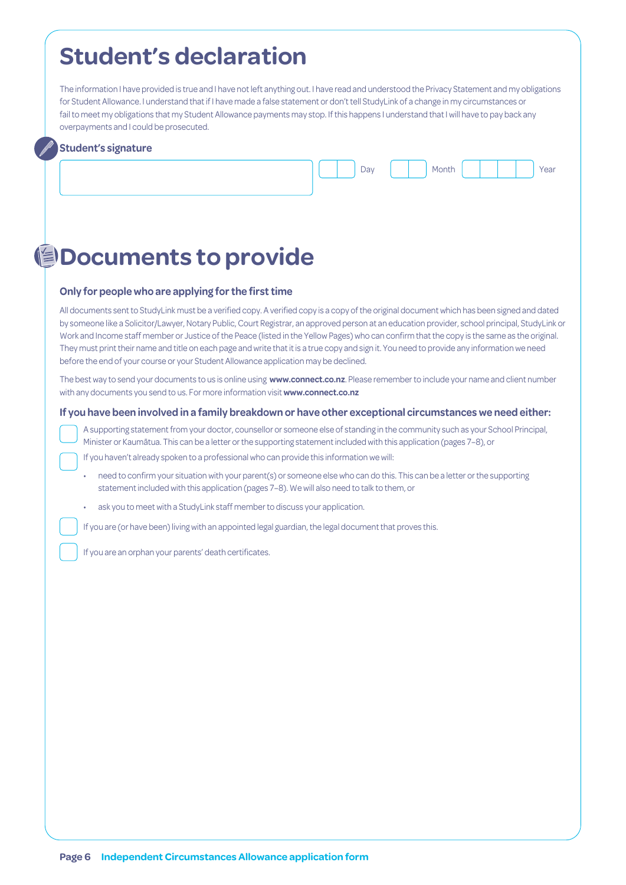## **Student's declaration**

The information I have provided is true and I have not left anything out. I have read and understood the Privacy Statement and my obligations for Student Allowance. I understand that if I have made a false statement or don't tell StudyLink of a change in my circumstances or fail to meet my obligations that my Student Allowance payments may stop. If this happens I understand that I will have to pay back any overpayments and I could be prosecuted.

#### **Student's signature**



## **Documents to provide**

#### **Only for people who are applying for the first time**

All documents sent to StudyLink must be a verified copy. A verified copy is a copy of the original document which has been signed and dated by someone like a Solicitor/Lawyer, Notary Public, Court Registrar, an approved person at an education provider, school principal, StudyLink or Work and Income staff member or Justice of the Peace (listed in the Yellow Pages) who can confirm that the copy is the same as the original. They must print their name and title on each page and write that it is a true copy and sign it. You need to provide any information we need before the end of your course or your Student Allowance application may be declined.

The best way to send your documents to us is online using **www.connect.co.nz**. Please remember to include your name and client number with any documents you send to us. For more information visit **www.connect.co.nz**

#### **If you have been involved in a family breakdown or have other exceptional circumstances we need either:**

A supporting statement from your doctor, counsellor or someone else of standing in the community such as your School Principal, Minister or Kaumātua. This can be a letter or the supporting statement included with this application (pages 7–8), or

If you haven't already spoken to a professional who can provide this information we will:

- need to confirm your situation with your parent(s) or someone else who can do this. This can be a letter or the supporting statement included with this application (pages 7–8). We will also need to talk to them, or
- ask you to meet with a StudyLink staff member to discuss your application.

If you are (or have been) living with an appointed legal guardian, the legal document that proves this.

If you are an orphan your parents' death certificates.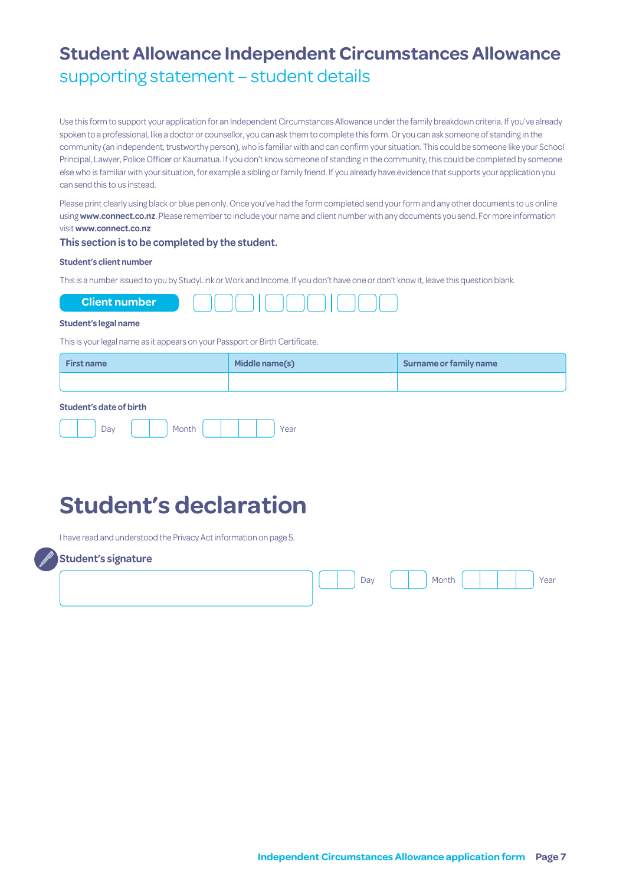## **Student Allowance Independent Circumstances Allowance** supporting statement – student details

Use this form to support your application for an Independent Circumstances Allowance under the family breakdown criteria. If you've already spoken to a professional, like a doctor or counsellor, you can ask them to complete this form. Or you can ask someone of standing in the community (an independent, trustworthy person), who is familiar with and can confirm your situation. This could be someone like your School Principal, Lawyer, Police Officer or Kaumatua. If you don't know someone of standing in the community, this could be completed by someone else who is familiar with your situation, for example a sibling or family friend. If you already have evidence that supports your application you can send this to us instead.

Please print clearly using black or blue pen only. Once you've had the form completed send your form and any other documents to us online using **www.connect.co.nz**. Please remember to include your name and client number with any documents you send. For more information visit **www.connect.co.nz**

#### **This section is to be completed by the student.**

#### **Student's client number**

This is a number issued to you by StudyLink or Work and Income. If you don't have one or don't know it, leave this question blank.



#### **Student's legal name**

This is your legal name as it appears on your Passport or Birth Certificate.

| <b>First name</b> | Middle name(s) | Surname or family name |
|-------------------|----------------|------------------------|
|                   |                |                        |

#### **Student's date of birth**

| u | $\sim$ - with $\sim$<br>וטו וט |  |  | ed |
|---|--------------------------------|--|--|----|
|   |                                |  |  |    |

## **Student's declaration**

I have read and understood the Privacy Act information on page 5.



| . |  |     |       |  |  |        |
|---|--|-----|-------|--|--|--------|
|   |  | Day | Month |  |  | . Year |
|   |  |     |       |  |  |        |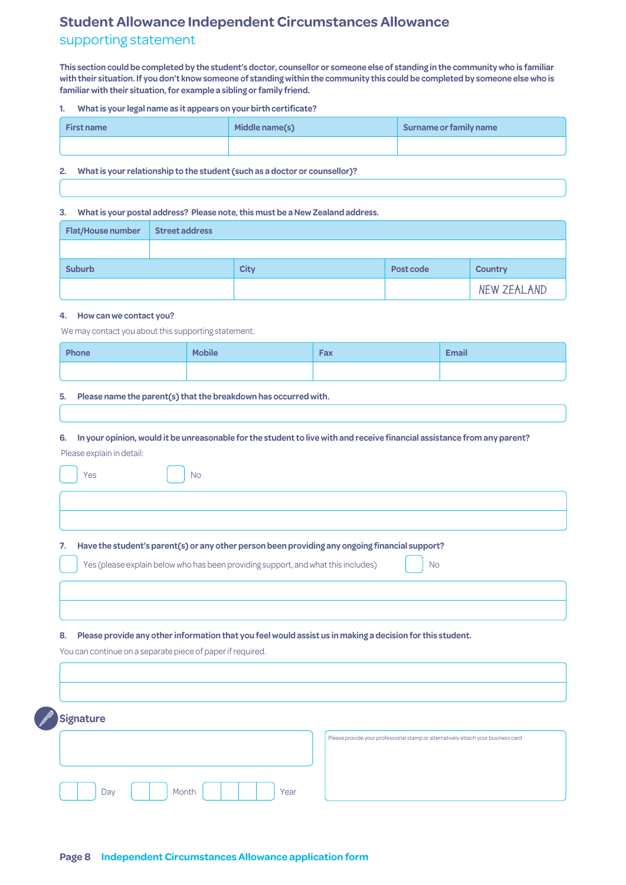## **Student Allowance Independent Circumstances Allowance** supporting statement

**This section could be completed by the student's doctor, counsellor or someone else of standing in the community who is familiar with their situation. If you don't know someone of standing within the community this could be completed by someone else who is familiar with their situation, for example a sibling or family friend.**

#### **1. What is your legal name as it appears on your birth certificate?**

| <b>First name</b> | Middle name(s) | Surname or family name |
|-------------------|----------------|------------------------|
|                   |                |                        |

#### **2. What is your relationship to the student (such as a doctor or counsellor)?**

#### **3. What is your postal address? Please note, this must be a New Zealand address.**

| <b>Flat/House number</b> | <b>Street address</b> |             |           |                |
|--------------------------|-----------------------|-------------|-----------|----------------|
|                          |                       |             |           |                |
| <b>Suburb</b>            |                       | <b>City</b> | Post code | <b>Country</b> |
|                          |                       |             |           | NEW ZEALAND    |

#### **4. How can we contact you?**

We may contact you about this supporting statement.

| Phone | <b>Mobile</b> | Fax | <b>Email</b> |
|-------|---------------|-----|--------------|
|       |               |     |              |

#### **5. Please name the parent(s) that the breakdown has occurred with.**

**6. In your opinion, would it be unreasonable for the student to live with and receive financial assistance from any parent?** Please explain in detail: Yes No **7. Have the student's parent(s) or any other person been providing any ongoing financial support?** Yes (please explain below who has been providing support, and what this includes) No **8. Please provide any other information that you feel would assist us in making a decision for this student.** You can continue on a separate piece of paper if required. **Signature** Day | | | Month | | | | | | Year Please provide your professional stamp or alternatively attach your business card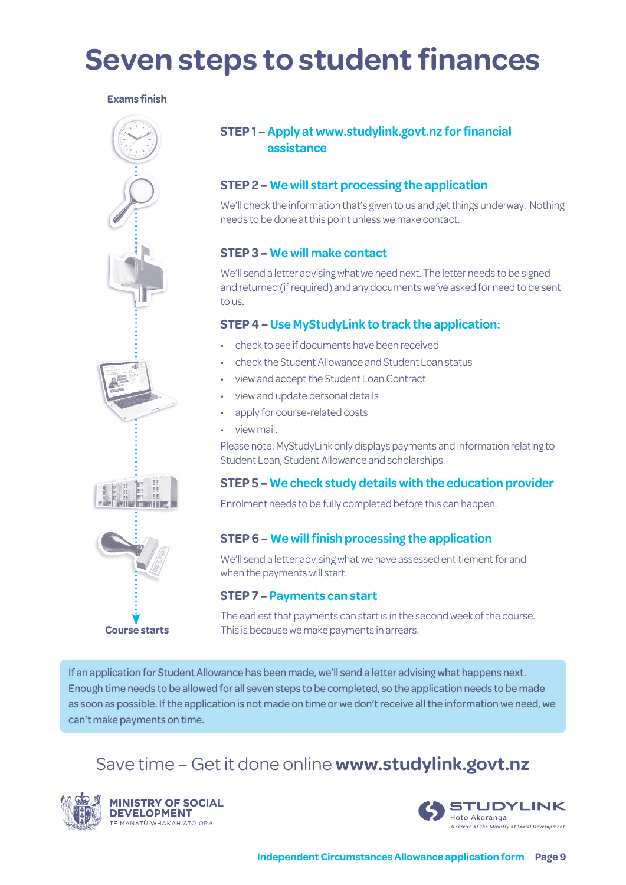# **Seven steps to student finances**

### **Exams finish**



### **STEP 1 – Apply at www.studylink.govt.nz for financial assistance**

## **STEP 2 – We will start processing the application**

We'll check the information that's given to us and get things underway. Nothing needs to be done at this point unless we make contact.

### **STEP 3 – We will make contact**

We'll send a letter advising what we need next. The letter needs to be signed and returned (if required) and any documents we've asked for need to be sent to us.

### **STEP 4 – Use MyStudyLink to track the application:**

- check to see if documents have been received
- check the Student Allowance and Student Loan status
- view and accept the Student Loan Contract
- view and update personal details
- apply for course-related costs
- view mail.

Please note: MyStudyLink only displays payments and information relating to Student Loan, Student Allowance and scholarships.

### **STEP 5 – We check study details with the education provider**

Enrolment needs to be fully completed before this can happen.

### **STEP 6 – We will finish processing the application**

We'll send a letter advising what we have assessed entitlement for and when the payments will start.

### **STEP 7 – Payments can start**

The earliest that payments can start is in the second week of the course. This is because we make payments in arrears.

If an application for Student Allowance has been made, we'll send a letter advising what happens next. Enough time needs to be allowed for all seven steps to be completed, so the application needs to be made as soon as possible. If the application is not made on time or we don't receive all the information we need, we can't make payments on time.

## Save time – Get it done online **[www.studylink.govt.nz](http://www.studylink.govt.nz)**